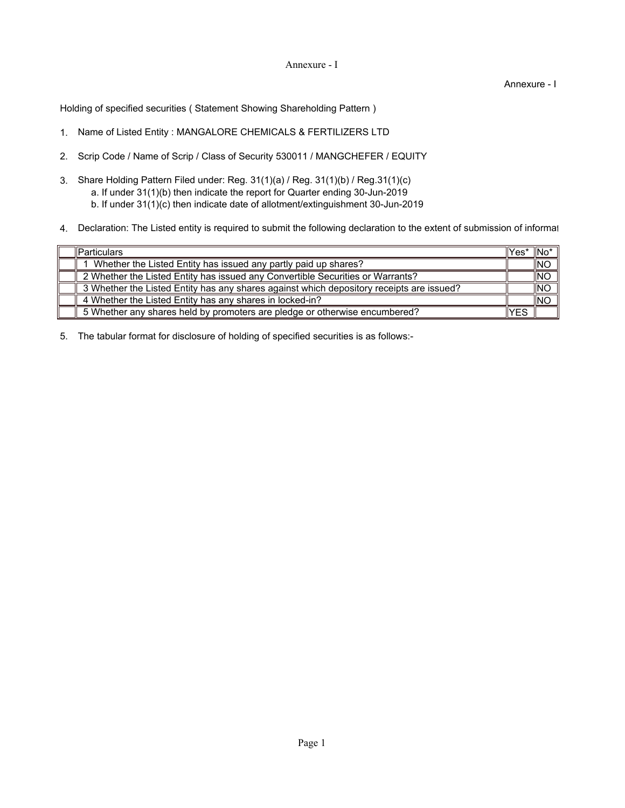## Annexure - I

Annexure - I

Holding of specified securities ( Statement Showing Shareholding Pattern )

- 1. Name of Listed Entity : MANGALORE CHEMICALS & FERTILIZERS LTD
- 2. Scrip Code / Name of Scrip / Class of Security 530011 / MANGCHEFER / EQUITY
- 3. Share Holding Pattern Filed under: Reg. 31(1)(a) / Reg. 31(1)(b) / Reg.31(1)(c) a. If under 31(1)(b) then indicate the report for Quarter ending 30-Jun-2019 b. If under 31(1)(c) then indicate date of allotment/extinguishment 30-Jun-2019
- 4. Declaration: The Listed entity is required to submit the following declaration to the extent of submission of informat

| <b>Particulars</b>                                                                       | llYes* | $\mathsf{INo}^*$ |
|------------------------------------------------------------------------------------------|--------|------------------|
| Whether the Listed Entity has issued any partly paid up shares?                          |        | INO              |
| 2 Whether the Listed Entity has issued any Convertible Securities or Warrants?           |        | <b>INO</b>       |
| 3 Whether the Listed Entity has any shares against which depository receipts are issued? |        | INO              |
| 4 Whether the Listed Entity has any shares in locked-in?                                 |        | INC              |
| 5 Whether any shares held by promoters are pledge or otherwise encumbered?               | YES    |                  |

5. The tabular format for disclosure of holding of specified securities is as follows:-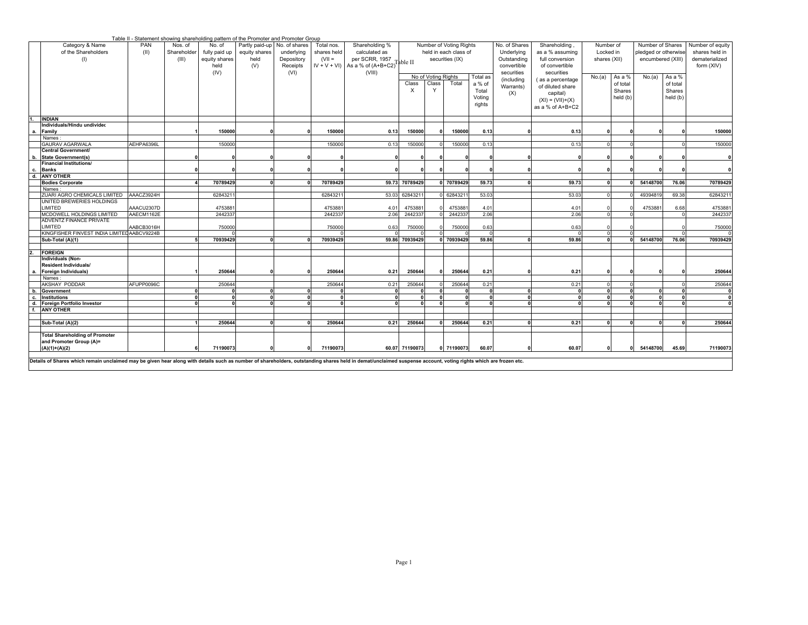|                                                                                                                                                                                                                |             |                                 | Table II - Statement showing shareholding pattern of the Promoter and Promoter Group |                                         |                                           |                                       |                                                               |                |                     |                                                                     |            |                                            |                                                    |                                        |          |                                                               |              |                                                      |
|----------------------------------------------------------------------------------------------------------------------------------------------------------------------------------------------------------------|-------------|---------------------------------|--------------------------------------------------------------------------------------|-----------------------------------------|-------------------------------------------|---------------------------------------|---------------------------------------------------------------|----------------|---------------------|---------------------------------------------------------------------|------------|--------------------------------------------|----------------------------------------------------|----------------------------------------|----------|---------------------------------------------------------------|--------------|------------------------------------------------------|
| Category & Name<br>of the Shareholders<br>(1)                                                                                                                                                                  | PAN<br>(II) | Nos. of<br>Shareholder<br>(III) | No. of<br>fully paid up<br>equity shares                                             | Partly paid-up<br>equity shares<br>held | No. of shares<br>underlying<br>Depository | Total nos.<br>shares held<br>$(VII =$ | Shareholding %<br>calculated as<br>per SCRR, 1957<br>Table II |                |                     | Number of Voting Rights<br>held in each class of<br>securities (IX) |            | No. of Shares<br>Underlying<br>Outstanding | Shareholding<br>as a % assuming<br>full conversion | Number of<br>Locked in<br>shares (XII) |          | Number of Shares<br>pledged or otherwise<br>encumbered (XIII) |              | Number of equity<br>shares held in<br>dematerialized |
|                                                                                                                                                                                                                |             |                                 | held                                                                                 | (V)                                     | Receipts                                  |                                       | $IV + V + VI$ ) As a % of $(A+B+C2)^T$                        |                |                     |                                                                     |            | convertible                                | of convertible                                     |                                        |          |                                                               |              | form (XIV)                                           |
|                                                                                                                                                                                                                |             |                                 | (IV)                                                                                 |                                         | (VI)                                      |                                       | (VIII)                                                        |                |                     |                                                                     |            | securities                                 | securities                                         |                                        |          |                                                               |              |                                                      |
|                                                                                                                                                                                                                |             |                                 |                                                                                      |                                         |                                           |                                       |                                                               |                | No of Voting Rights |                                                                     | Total as   | (including                                 | (as a percentage                                   | No.(a)                                 | As a %   | No.(a)                                                        | As a %       |                                                      |
|                                                                                                                                                                                                                |             |                                 |                                                                                      |                                         |                                           |                                       |                                                               | Class          | Class               | Total                                                               | a % of     | Warrants)                                  | of diluted share                                   |                                        | of total |                                                               | of total     |                                                      |
|                                                                                                                                                                                                                |             |                                 |                                                                                      |                                         |                                           |                                       |                                                               | $\times$       | Y                   |                                                                     | Total      | (X)                                        | capital)                                           |                                        | Shares   |                                                               | Shares       |                                                      |
|                                                                                                                                                                                                                |             |                                 |                                                                                      |                                         |                                           |                                       |                                                               |                |                     |                                                                     | Voting     |                                            | $(XI) = (VII)+(X)$                                 |                                        | held (b) |                                                               | held (b)     |                                                      |
|                                                                                                                                                                                                                |             |                                 |                                                                                      |                                         |                                           |                                       |                                                               |                |                     |                                                                     | rights     |                                            | as a % of A+B+C2                                   |                                        |          |                                                               |              |                                                      |
|                                                                                                                                                                                                                |             |                                 |                                                                                      |                                         |                                           |                                       |                                                               |                |                     |                                                                     |            |                                            |                                                    |                                        |          |                                                               |              |                                                      |
| <b>INDIAN</b>                                                                                                                                                                                                  |             |                                 |                                                                                      |                                         |                                           |                                       |                                                               |                |                     |                                                                     |            |                                            |                                                    |                                        |          |                                                               |              |                                                      |
| Individuals/Hindu undividec                                                                                                                                                                                    |             |                                 |                                                                                      |                                         |                                           |                                       |                                                               |                |                     |                                                                     |            |                                            |                                                    |                                        |          |                                                               |              |                                                      |
| Family<br>$\mathbf{a}$                                                                                                                                                                                         |             |                                 | 150000                                                                               |                                         |                                           | 150000                                | 0.13                                                          | 150000         |                     | 150000                                                              | 0.13       |                                            | 0.13                                               | U                                      |          |                                                               |              | 150000                                               |
| Names:<br><b>GAURAV AGARWALA</b>                                                                                                                                                                               | AEHPA6396L  |                                 | 150000                                                                               |                                         |                                           | 150000                                | 0.13                                                          | 150000         |                     | 150000                                                              | 0.13       |                                            | 0.13                                               |                                        |          |                                                               |              | 150000                                               |
| Central Government/                                                                                                                                                                                            |             |                                 |                                                                                      |                                         |                                           |                                       |                                                               |                |                     |                                                                     |            |                                            |                                                    |                                        |          |                                                               |              |                                                      |
| <b>State Government(s)</b><br>b.                                                                                                                                                                               |             |                                 |                                                                                      |                                         |                                           |                                       | $\Omega$                                                      |                |                     |                                                                     | $\Omega$   |                                            |                                                    |                                        |          |                                                               |              | $\mathbf 0$                                          |
| Financial Institutions/                                                                                                                                                                                        |             |                                 |                                                                                      |                                         |                                           |                                       |                                                               |                |                     |                                                                     |            |                                            |                                                    |                                        |          |                                                               |              |                                                      |
| <b>Banks</b><br>c.                                                                                                                                                                                             |             |                                 |                                                                                      |                                         |                                           |                                       |                                                               |                |                     |                                                                     |            |                                            |                                                    |                                        |          |                                                               |              | $\mathbf{0}$                                         |
| <b>ANY OTHER</b><br>d.                                                                                                                                                                                         |             |                                 |                                                                                      |                                         |                                           |                                       |                                                               |                |                     |                                                                     |            |                                            |                                                    |                                        |          |                                                               |              |                                                      |
| <b>Bodies Corporate</b>                                                                                                                                                                                        |             |                                 | 70789429                                                                             |                                         |                                           | 70789429                              |                                                               | 59.73 70789429 |                     | 0 70789429                                                          | 59.73      |                                            | 59.73                                              | $\Omega$                               |          | 54148700                                                      | 76.06        | 70789429                                             |
| Names                                                                                                                                                                                                          |             |                                 |                                                                                      |                                         |                                           |                                       |                                                               |                |                     |                                                                     |            |                                            |                                                    |                                        |          |                                                               |              |                                                      |
| ZUARI AGRO CHEMICALS LIMITED                                                                                                                                                                                   | AAACZ3924H  |                                 | 6284321                                                                              |                                         |                                           | 6284321                               |                                                               | 53.03 6284321  |                     | 6284321                                                             | 53.03      |                                            | 53.03                                              |                                        |          | 4939481                                                       | 69.38        | 62843211                                             |
| UNITED BREWERIES HOLDINGS                                                                                                                                                                                      |             |                                 |                                                                                      |                                         |                                           |                                       |                                                               |                |                     |                                                                     |            |                                            |                                                    |                                        |          |                                                               |              |                                                      |
| <b>LIMITED</b>                                                                                                                                                                                                 | AAACU2307D  |                                 | 475388                                                                               |                                         |                                           | 475388                                | 4.01                                                          | 475388         |                     | 475388                                                              | 4.01       |                                            | 4.01                                               |                                        |          | 475388                                                        | 6.68         | 4753881                                              |
| MCDOWELL HOLDINGS LIMITED                                                                                                                                                                                      | AAECM1162E  |                                 | 244233                                                                               |                                         |                                           | 244233                                | 2.06                                                          | 244233         |                     | 244233                                                              | 2.06       |                                            | 2.06                                               |                                        |          |                                                               |              | 2442337                                              |
| ADVENTZ FINANCE PRIVATE                                                                                                                                                                                        |             |                                 |                                                                                      |                                         |                                           |                                       |                                                               |                |                     |                                                                     |            |                                            |                                                    |                                        |          |                                                               |              |                                                      |
| <b>IMITED</b>                                                                                                                                                                                                  | AABCB3016H  |                                 | 750000                                                                               |                                         |                                           | 750000                                | 0.63                                                          | 750000         |                     | 750000                                                              | 0.63       |                                            | 0.63                                               |                                        |          |                                                               |              | 750000                                               |
| KINGFISHER FINVEST INDIA LIMITED AABCV9224B                                                                                                                                                                    |             |                                 |                                                                                      |                                         |                                           |                                       |                                                               |                |                     |                                                                     |            |                                            |                                                    |                                        |          |                                                               |              |                                                      |
| Sub-Total (A)(1)                                                                                                                                                                                               |             |                                 | 70939429                                                                             |                                         |                                           | 70939429                              |                                                               | 59.86 70939429 |                     | 70939429                                                            | 59.86      |                                            | 59.86                                              |                                        |          | 54148700                                                      | 76.06        | 70939429                                             |
|                                                                                                                                                                                                                |             |                                 |                                                                                      |                                         |                                           |                                       |                                                               |                |                     |                                                                     |            |                                            |                                                    |                                        |          |                                                               |              |                                                      |
| <b>FOREIGN</b><br>Individuals (Non-                                                                                                                                                                            |             |                                 |                                                                                      |                                         |                                           |                                       |                                                               |                |                     |                                                                     |            |                                            |                                                    |                                        |          |                                                               |              |                                                      |
| <b>Resident Individuals/</b>                                                                                                                                                                                   |             |                                 |                                                                                      |                                         |                                           |                                       |                                                               |                |                     |                                                                     |            |                                            |                                                    |                                        |          |                                                               |              |                                                      |
| Foreign Individuals)<br>a.                                                                                                                                                                                     |             |                                 | 250644                                                                               |                                         |                                           | 250644                                | 0.21                                                          | 250644         |                     | 250644                                                              | 0.21       |                                            | 0.21                                               |                                        |          |                                                               |              | 250644                                               |
| Names:                                                                                                                                                                                                         |             |                                 |                                                                                      |                                         |                                           |                                       |                                                               |                |                     |                                                                     |            |                                            |                                                    |                                        |          |                                                               |              |                                                      |
| AKSHAY PODDAR                                                                                                                                                                                                  | AFUPP0096C  |                                 | 250644                                                                               |                                         |                                           | 250644                                | 0.21                                                          | 250644         |                     | 250644                                                              | 0.21       |                                            | 0.21                                               |                                        |          |                                                               |              | 250644                                               |
| b.<br>Government                                                                                                                                                                                               |             |                                 |                                                                                      |                                         |                                           |                                       |                                                               |                |                     |                                                                     |            |                                            | $\sqrt{2}$                                         |                                        |          |                                                               |              | $\mathbf 0$                                          |
| <b>Institutions</b><br>c.                                                                                                                                                                                      |             |                                 |                                                                                      |                                         |                                           |                                       | $\sqrt{2}$                                                    |                |                     | $\mathbf{0}$                                                        | $\sqrt{2}$ |                                            |                                                    |                                        |          |                                                               | $\mathbf{0}$ | ō                                                    |
| Foreign Portfolio Investor<br>d.                                                                                                                                                                               |             |                                 |                                                                                      |                                         |                                           |                                       | $\Omega$                                                      |                |                     |                                                                     |            |                                            |                                                    |                                        |          |                                                               |              |                                                      |
| <b>ANY OTHER</b><br>$\ddot{f}$                                                                                                                                                                                 |             |                                 |                                                                                      |                                         |                                           |                                       |                                                               |                |                     |                                                                     |            |                                            |                                                    |                                        |          |                                                               |              |                                                      |
|                                                                                                                                                                                                                |             |                                 |                                                                                      |                                         |                                           |                                       |                                                               |                |                     |                                                                     |            |                                            |                                                    |                                        |          |                                                               |              |                                                      |
| Sub-Total (A)(2)                                                                                                                                                                                               |             |                                 | 250644                                                                               |                                         |                                           | 250644                                | 0.21                                                          | 250644         |                     | 250644                                                              | 0.21       |                                            | 0.21                                               | $\mathbf{0}$                           |          |                                                               |              | 250644                                               |
| <b>Total Shareholding of Promoter</b>                                                                                                                                                                          |             |                                 |                                                                                      |                                         |                                           |                                       |                                                               |                |                     |                                                                     |            |                                            |                                                    |                                        |          |                                                               |              |                                                      |
| and Promoter Group (A)=                                                                                                                                                                                        |             |                                 |                                                                                      |                                         |                                           |                                       |                                                               |                |                     |                                                                     |            |                                            |                                                    |                                        |          |                                                               |              |                                                      |
| $(A)(1)+(A)(2)$                                                                                                                                                                                                |             |                                 | 71190073                                                                             |                                         |                                           | 71190073                              |                                                               | 60.07 71190073 |                     | 0 71190073                                                          | 60.07      |                                            | 60.07                                              |                                        |          | 54148700                                                      | 45.69        | 71190073                                             |
|                                                                                                                                                                                                                |             |                                 |                                                                                      |                                         |                                           |                                       |                                                               |                |                     |                                                                     |            |                                            |                                                    |                                        |          |                                                               |              |                                                      |
| Details of Shares which remain unclaimed may be given hear along with details such as number of shareholders, outstanding shares held in demat/unclaimed suspense account, voting rights which are frozen etc. |             |                                 |                                                                                      |                                         |                                           |                                       |                                                               |                |                     |                                                                     |            |                                            |                                                    |                                        |          |                                                               |              |                                                      |
|                                                                                                                                                                                                                |             |                                 |                                                                                      |                                         |                                           |                                       |                                                               |                |                     |                                                                     |            |                                            |                                                    |                                        |          |                                                               |              |                                                      |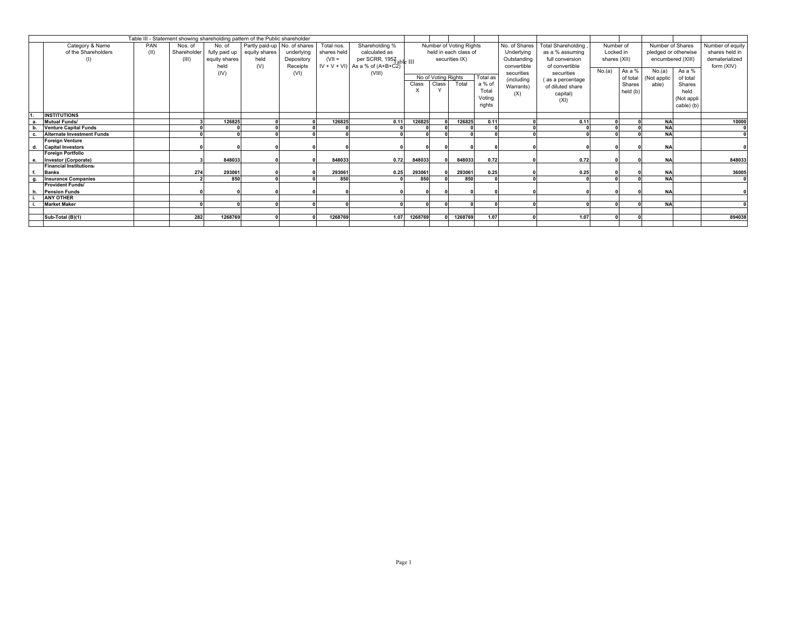|    |                                   |            |             |               | Table III - Statement showing shareholding pattern of the Public shareholder |                              |             |                                      |          |                     |                         |          |               |                    |              |          |                  |                      |                  |
|----|-----------------------------------|------------|-------------|---------------|------------------------------------------------------------------------------|------------------------------|-------------|--------------------------------------|----------|---------------------|-------------------------|----------|---------------|--------------------|--------------|----------|------------------|----------------------|------------------|
|    | Category & Name                   | <b>PAN</b> | Nos. of     | No. of        |                                                                              | Partly paid-up No. of shares | Total nos.  | Shareholding %                       |          |                     | Number of Voting Rights |          | No. of Shares | Total Shareholding | Number of    |          | Number of Shares |                      | Number of equity |
|    | of the Shareholders               | (II)       | Shareholder | fully paid up | equity shares                                                                | underlying                   | shares held | calculated as                        |          |                     | held in each class of   |          | Underlying    | as a % assuming    | Locked in    |          |                  | pledged or otherwise | shares held in   |
|    | (1)                               |            | (III)       | equity shares | held                                                                         | Depository                   | $(VII =$    | per SCRR, 1957able III               |          |                     | securities IX)          |          | Outstanding   | full conversion    | shares (XII) |          |                  | encumbered (XIII)    | dematerialized   |
|    |                                   |            |             | held          | (V)                                                                          | Receipts                     |             | $IV + V + VI$ ) As a % of $(A+B+C2)$ |          |                     |                         |          | convertible   | of convertible     |              |          |                  |                      | form (XIV)       |
|    |                                   |            |             | (IV)          |                                                                              | (VI)                         |             | (VIII)                               |          |                     |                         |          | securities    | securities         | No.(a)       | As a %   | No.(a)           | As a %               |                  |
|    |                                   |            |             |               |                                                                              |                              |             |                                      |          | No of Voting Rights |                         | Total as | (including    | (as a percentage   |              | of total | (Not applic      | of total             |                  |
|    |                                   |            |             |               |                                                                              |                              |             |                                      | Class    | Class               | Total                   | a % of   |               | of diluted share   |              | Shares   | able)            | Shares               |                  |
|    |                                   |            |             |               |                                                                              |                              |             |                                      | $\times$ |                     |                         | Total    | Warrants)     |                    |              | held (b) |                  | held                 |                  |
|    |                                   |            |             |               |                                                                              |                              |             |                                      |          |                     |                         | Votina   | (X)           | capital)           |              |          |                  | (Not appli           |                  |
|    |                                   |            |             |               |                                                                              |                              |             |                                      |          |                     |                         | rights   |               | (XI)               |              |          |                  | cable) (b)           |                  |
|    |                                   |            |             |               |                                                                              |                              |             |                                      |          |                     |                         |          |               |                    |              |          |                  |                      |                  |
|    | <b>INSTITUTIONS</b>               |            |             |               |                                                                              |                              |             |                                      |          |                     |                         |          |               |                    |              |          |                  |                      |                  |
|    | <b>Mutual Funds/</b>              |            |             | 126825        |                                                                              |                              | 126825      | 0.11                                 | 126825   |                     | 126825                  | 0.11     |               | 0.11               |              |          | <b>NA</b>        |                      | 10000            |
|    | <b>Venture Capital Funds</b>      |            |             |               |                                                                              |                              |             |                                      |          |                     |                         |          |               |                    |              |          | <b>NA</b>        |                      |                  |
|    | <b>Alternate Investment Funds</b> |            |             |               |                                                                              |                              |             |                                      |          |                     |                         |          |               |                    |              |          | <b>NA</b>        |                      |                  |
|    | <b>Foreign Venture</b>            |            |             |               |                                                                              |                              |             |                                      |          |                     |                         |          |               |                    |              |          |                  |                      |                  |
| d. | <b>Capital Investors</b>          |            |             |               |                                                                              |                              |             |                                      |          |                     |                         |          |               |                    |              |          | <b>NA</b>        |                      |                  |
|    | <b>Foreign Portfolio</b>          |            |             |               |                                                                              |                              |             |                                      |          |                     |                         |          |               |                    |              |          |                  |                      |                  |
|    | Investor (Corporate)              |            |             | 848033        |                                                                              |                              | 848033      | 0.72                                 | 848033   |                     | 848033                  | 0.72     |               | 0.72               |              |          | <b>NA</b>        |                      | 848033           |
|    | <b>Financial Institutions</b>     |            |             |               |                                                                              |                              |             |                                      |          |                     |                         |          |               |                    |              |          |                  |                      |                  |
|    | <b>Banks</b>                      |            | 274         | 293061        |                                                                              |                              | 293061      | 0.25                                 | 293061   |                     | 293061                  | 0.25     |               | 0.25               |              |          | <b>NA</b>        |                      | 36005            |
|    | <b>Insurance Companies</b>        |            |             | 850           |                                                                              |                              | 850         |                                      | 850      |                     | 850                     |          |               |                    |              |          | <b>NA</b>        |                      |                  |
|    | <b>Provident Funds/</b>           |            |             |               |                                                                              |                              |             |                                      |          |                     |                         |          |               |                    |              |          |                  |                      |                  |
|    | <b>Pension Funds</b>              |            |             |               |                                                                              |                              |             |                                      |          |                     |                         |          |               |                    |              |          | <b>NA</b>        |                      |                  |
|    | <b>ANY OTHER</b>                  |            |             |               |                                                                              |                              |             |                                      |          |                     |                         |          |               |                    |              |          |                  |                      |                  |
|    | <b>Market Maker</b>               |            |             |               |                                                                              |                              |             |                                      |          |                     |                         |          |               |                    |              |          | <b>NA</b>        |                      |                  |
|    |                                   |            |             |               |                                                                              |                              |             |                                      |          |                     |                         |          |               |                    |              |          |                  |                      |                  |
|    | Sub-Total (B)(1)                  |            | 282         | 1268769       |                                                                              |                              | 1268769     | 1.07                                 | 1268769  | ΩI                  | 1268769                 | 1.07     |               | 1.07               |              |          |                  |                      | 894038           |
|    |                                   |            |             |               |                                                                              |                              |             |                                      |          |                     |                         |          |               |                    |              |          |                  |                      |                  |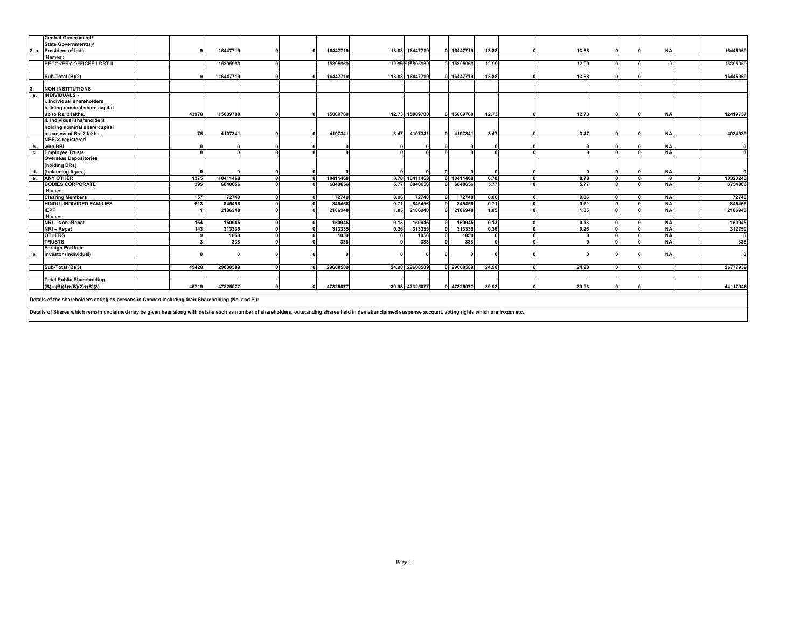|                | <b>Central Government/</b>                                                                                                                                                                                     |       |                   |              |          |       |                             |            |              |              |       |              |           |              |
|----------------|----------------------------------------------------------------------------------------------------------------------------------------------------------------------------------------------------------------|-------|-------------------|--------------|----------|-------|-----------------------------|------------|--------------|--------------|-------|--------------|-----------|--------------|
|                | <b>State Government(s)/</b>                                                                                                                                                                                    |       |                   |              |          |       |                             |            |              |              |       |              |           |              |
| 2 a.           | <b>President of India</b>                                                                                                                                                                                      |       | 16447719          |              | 16447719 |       | 13.88 16447719              | 16447719   | 13.88        |              | 13.88 | n            | <b>NA</b> | 16445969     |
|                | Names                                                                                                                                                                                                          |       |                   |              |          |       |                             |            |              |              |       |              |           |              |
|                | RECOVERY OFFICER I DRT II                                                                                                                                                                                      |       | 15395969          |              | 15395969 |       | 12.99 <sup>c</sup> 15595969 | 0 15395969 | 12.99        |              | 12.99 |              |           | 15395969     |
|                |                                                                                                                                                                                                                |       |                   |              |          |       |                             |            |              |              |       |              |           |              |
|                | Sub-Total (B)(2)                                                                                                                                                                                               |       | 16447719          |              | 16447719 | 13.88 | 16447719                    | 0 16447719 | 13.88        |              | 13.88 |              |           | 16445969     |
|                |                                                                                                                                                                                                                |       |                   |              |          |       |                             |            |              |              |       |              |           |              |
|                | <b>NON-INSTITUTIONS</b>                                                                                                                                                                                        |       |                   |              |          |       |                             |            |              |              |       |              |           |              |
| $\overline{a}$ | <b>INDIVIDUALS</b>                                                                                                                                                                                             |       |                   |              |          |       |                             |            |              |              |       |              |           |              |
|                | l. Individual shareholders                                                                                                                                                                                     |       |                   |              |          |       |                             |            |              |              |       |              |           |              |
|                | holding nominal share capital                                                                                                                                                                                  |       |                   |              |          |       |                             |            |              |              |       |              |           |              |
|                | up to Rs. 2 lakhs.                                                                                                                                                                                             | 43978 | 15089780          | $\mathbf{a}$ | 15089780 |       | 12.73 15089780              | 0 15089780 | 12.73        | $\Omega$     | 12.73 | $\Omega$     | <b>NA</b> | 12419757     |
|                | II. Individual shareholders                                                                                                                                                                                    |       |                   |              |          |       |                             |            |              |              |       |              |           |              |
|                | holding nominal share capital                                                                                                                                                                                  |       |                   |              |          |       |                             |            |              |              |       |              |           |              |
|                | in excess of Rs. 2 lakhs.                                                                                                                                                                                      |       | 4107341<br>75     |              | 4107341  | 3.47  | 410734                      | 4107341    | 3.47         |              | 3.47  |              | <b>NA</b> | 4034939      |
|                | <b>NBFCs registered</b>                                                                                                                                                                                        |       |                   |              |          |       |                             |            |              |              |       |              |           |              |
| b.             | with RBI                                                                                                                                                                                                       |       |                   |              |          |       |                             |            |              |              |       |              | <b>NA</b> | $\mathbf{0}$ |
| c.             | <b>Employee Trusts</b>                                                                                                                                                                                         |       |                   |              |          |       |                             | $\sqrt{2}$ |              |              |       | U            | <b>NA</b> | $\mathbf{0}$ |
|                | <b>Overseas Depositories</b>                                                                                                                                                                                   |       |                   |              |          |       |                             |            |              |              |       |              |           |              |
|                | (holding DRs)                                                                                                                                                                                                  |       |                   |              |          |       |                             |            |              |              |       |              |           |              |
| d.             | (balancing figure)                                                                                                                                                                                             |       |                   |              |          |       |                             |            |              |              |       |              | <b>NA</b> | $\sqrt{2}$   |
| $\theta$       | <b>ANY OTHER</b>                                                                                                                                                                                               |       | 10411468<br>1375  | $\mathbf{r}$ | 10411468 | 8.78  | 10411468                    | 0 10411468 | 8.78         | $\mathbf{r}$ | 8.78  | $\Omega$     |           | 10323243     |
|                | <b>BODIES CORPORATE</b>                                                                                                                                                                                        |       | 395<br>6840656    |              | 6840656  | 5.77  | 6840656                     | 6840656    | 5.77         |              | 5.77  |              | <b>NA</b> | 6754066      |
|                | Names:                                                                                                                                                                                                         |       |                   |              |          |       |                             |            |              |              |       |              |           |              |
|                | <b>Clearing Members</b>                                                                                                                                                                                        |       | 72740<br>57       | ΩI           | 72740    | 0.06  | 72740                       | 72740      | 0.06         |              | 0.06  | $\sqrt{2}$   | <b>NA</b> | 72740        |
|                | <b>HINDU UNDIVIDED FAMILIES</b>                                                                                                                                                                                |       | 613<br>845456     |              | 845456   | 0.71  | 845456                      | 845456     | 0.71         |              | 0.71  |              | <b>NA</b> | 845456       |
|                | <b>IEPF</b>                                                                                                                                                                                                    |       | 2186948           |              | 2186948  | 1.85  | 2186948                     | 2186948    | 1.85         |              | 1.85  | $\sqrt{2}$   | <b>NA</b> | 2186948      |
|                | Names                                                                                                                                                                                                          |       |                   |              |          |       |                             |            |              |              |       |              |           |              |
|                | NRI - Non-Repat                                                                                                                                                                                                |       | 150945<br>154     |              | 150945   | 0.13  | 150945                      | 150945     | 0.13         |              | 0.13  |              | <b>NA</b> | 150945       |
|                | NRI - Repat                                                                                                                                                                                                    |       | 313335<br>143     | $\mathbf{u}$ | 313335   | 0.26  | 313335                      | 313335     | 0.26         | $\sqrt{2}$   | 0.26  | $\sqrt{2}$   | <b>NA</b> | 312750       |
|                | <b>OTHERS</b>                                                                                                                                                                                                  |       | 1050              | $\sqrt{2}$   | 1050     |       | 1050                        | 1050       | $\mathbf{r}$ | $\sqrt{2}$   |       | $\mathbf{0}$ | <b>NA</b> |              |
|                | <b>TRUSTS</b>                                                                                                                                                                                                  |       | 338               |              | 338      |       | 338                         | 338        |              |              |       |              | <b>NA</b> | 338          |
|                | <b>Foreign Portfolio</b>                                                                                                                                                                                       |       |                   |              |          |       |                             |            |              |              |       |              |           |              |
|                | Investor (Individual)                                                                                                                                                                                          |       |                   |              |          |       |                             |            |              |              |       |              | <b>NA</b> | $\mathbf{0}$ |
|                |                                                                                                                                                                                                                |       |                   |              |          |       |                             |            |              |              |       |              |           |              |
|                | Sub-Total (B)(3)                                                                                                                                                                                               |       | 29608589<br>45428 | ΩI           | 29608589 |       | 24.98 29608589              | 0 29608589 | 24.98        |              | 24.98 | $\sqrt{2}$   |           | 26777939     |
|                |                                                                                                                                                                                                                |       |                   |              |          |       |                             |            |              |              |       |              |           |              |
|                | <b>Total Public Shareholding</b>                                                                                                                                                                               |       |                   |              |          |       |                             |            |              |              |       |              |           |              |
|                | $(B)=(B)(1)+(B)(2)+(B)(3)$                                                                                                                                                                                     |       | 47325077<br>45719 | n            | 47325077 |       | 39.93 47325077              | 0 47325077 | 39.93        |              | 39.93 | O            |           | 44117946     |
|                |                                                                                                                                                                                                                |       |                   |              |          |       |                             |            |              |              |       |              |           |              |
|                | Details of the shareholders acting as persons in Concert including their Shareholding (No. and %):                                                                                                             |       |                   |              |          |       |                             |            |              |              |       |              |           |              |
|                |                                                                                                                                                                                                                |       |                   |              |          |       |                             |            |              |              |       |              |           |              |
|                | Details of Shares which remain unclaimed may be given hear along with details such as number of shareholders, outstanding shares held in demat/unclaimed suspense account, voting rights which are frozen etc. |       |                   |              |          |       |                             |            |              |              |       |              |           |              |
|                |                                                                                                                                                                                                                |       |                   |              |          |       |                             |            |              |              |       |              |           |              |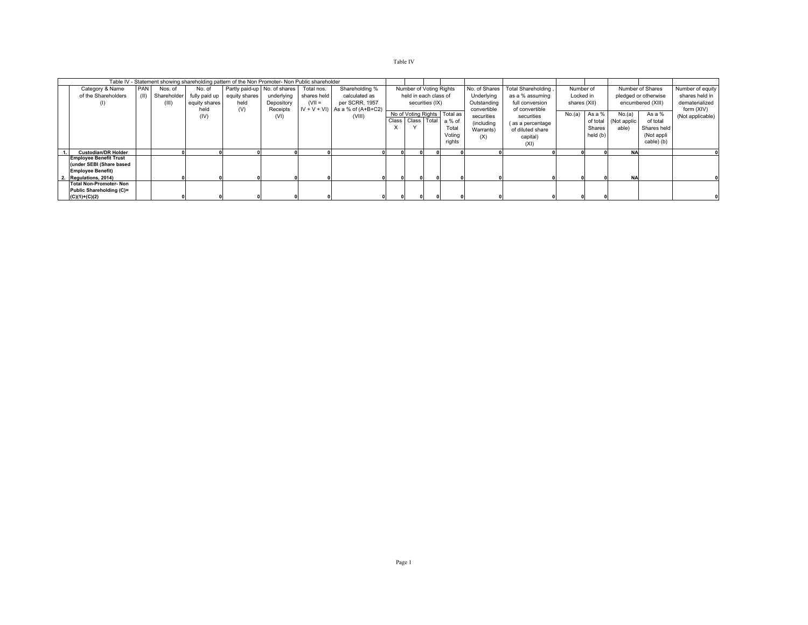## Table IV

| Table IV - Statement showing shareholding pattern of the Non Promoter- Non Public shareholder |            |                  |               |                              |            |             |                                      |  |                         |                 |                              |               |                     |              |          |             |                      |                  |
|-----------------------------------------------------------------------------------------------|------------|------------------|---------------|------------------------------|------------|-------------|--------------------------------------|--|-------------------------|-----------------|------------------------------|---------------|---------------------|--------------|----------|-------------|----------------------|------------------|
| Category & Name                                                                               | <b>PAN</b> | Nos. of          | No. of        | Partly paid-up No. of shares |            | Total nos.  | Shareholding %                       |  | Number of Voting Rights |                 |                              | No. of Shares | Total Shareholding, | Number of    |          |             | Number of Shares     | Number of equity |
| of the Shareholders                                                                           |            | (II) Shareholder |               | fully paid up equity shares  | underlying | shares held | calculated as                        |  | held in each class of   |                 |                              | Underlying    | as a % assuming     | Locked in    |          |             | pledged or otherwise | shares held in   |
| (1)                                                                                           |            | (III)            | equity shares | held                         | Depository | $(VII =$    | per SCRR, 1957                       |  |                         | securities (IX) |                              | Outstanding   | full conversion     | shares (XII) |          |             | encumbered (XIII)    | dematerialized   |
|                                                                                               |            |                  | held          | (V)                          | Receipts   |             | $IV + V + VI$ ) As a % of $(A+B+C2)$ |  |                         |                 |                              | convertible   | of convertible      |              |          |             |                      | form (XIV)       |
|                                                                                               |            |                  | (IV)          |                              | (VI)       |             | (VIII)                               |  |                         |                 | No of Voting Rights Total as | securities    | securities          | No.(a)       | As a %   | No.(a)      | As a %               | (Not applicable) |
|                                                                                               |            |                  |               |                              |            |             |                                      |  | Class Class Total       |                 | a % of                       | (including    | (as a percentage    |              | of total | (Not applic | of total             |                  |
|                                                                                               |            |                  |               |                              |            |             |                                      |  |                         |                 | Total                        | Warrants)     | of diluted share    |              | Shares   | able)       | Shares held          |                  |
|                                                                                               |            |                  |               |                              |            |             |                                      |  |                         |                 | Voting                       | (X)           | capital)            |              | held (b) |             | (Not appli           |                  |
|                                                                                               |            |                  |               |                              |            |             |                                      |  |                         |                 | rights                       |               | (XI)                |              |          |             | cable) (b)           |                  |
|                                                                                               |            |                  |               |                              |            |             |                                      |  |                         |                 |                              |               |                     |              |          |             |                      |                  |
| <b>Custodian/DR Holder</b>                                                                    |            |                  |               |                              |            |             |                                      |  |                         |                 |                              |               |                     |              |          | <b>NA</b>   |                      |                  |
| <b>Employee Benefit Trust</b>                                                                 |            |                  |               |                              |            |             |                                      |  |                         |                 |                              |               |                     |              |          |             |                      |                  |
| (under SEBI (Share based                                                                      |            |                  |               |                              |            |             |                                      |  |                         |                 |                              |               |                     |              |          |             |                      |                  |
| <b>Employee Benefit)</b>                                                                      |            |                  |               |                              |            |             |                                      |  |                         |                 |                              |               |                     |              |          |             |                      |                  |
| Regulations, 2014)                                                                            |            |                  |               |                              |            |             |                                      |  |                         |                 |                              |               |                     |              |          | <b>NA</b>   |                      |                  |
| <b>Total Non-Promoter-Non</b>                                                                 |            |                  |               |                              |            |             |                                      |  |                         |                 |                              |               |                     |              |          |             |                      |                  |
| Public Shareholding (C)=                                                                      |            |                  |               |                              |            |             |                                      |  |                         |                 |                              |               |                     |              |          |             |                      |                  |
| $(C)(1)+(C)(2)$                                                                               |            |                  |               |                              |            |             |                                      |  |                         |                 |                              |               |                     |              |          |             |                      |                  |